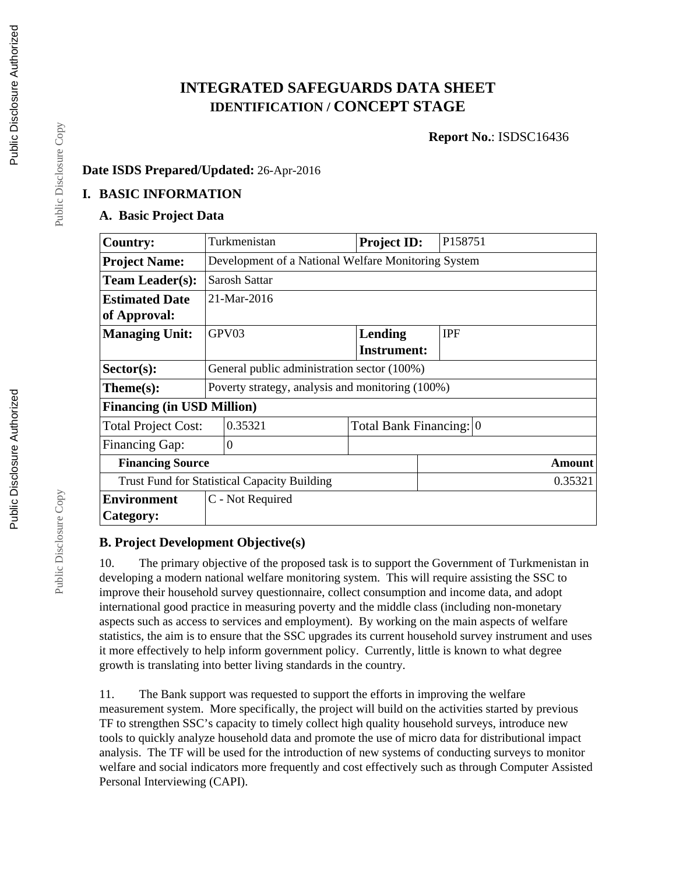# **INTEGRATED SAFEGUARDS DATA SHEET IDENTIFICATION / CONCEPT STAGE**

**Report No.**: ISDSC16436

# **Date ISDS Prepared/Updated:** 26-Apr-2016

#### **I. BASIC INFORMATION**

#### **A. Basic Project Data**

| <b>Country:</b>                                     | Turkmenistan                                        | <b>Project ID:</b>      | P158751    |  |  |
|-----------------------------------------------------|-----------------------------------------------------|-------------------------|------------|--|--|
| <b>Project Name:</b>                                | Development of a National Welfare Monitoring System |                         |            |  |  |
| <b>Team Leader(s):</b>                              | Sarosh Sattar                                       |                         |            |  |  |
| <b>Estimated Date</b>                               | 21-Mar-2016                                         |                         |            |  |  |
| of Approval:                                        |                                                     |                         |            |  |  |
| <b>Managing Unit:</b>                               | GPV03                                               | <b>Lending</b>          | <b>IPF</b> |  |  |
|                                                     |                                                     | <b>Instrument:</b>      |            |  |  |
| Sector(s):                                          | General public administration sector (100%)         |                         |            |  |  |
| $Thene(s):$                                         | Poverty strategy, analysis and monitoring (100%)    |                         |            |  |  |
| <b>Financing (in USD Million)</b>                   |                                                     |                         |            |  |  |
| <b>Total Project Cost:</b>                          | 0.35321                                             | Total Bank Financing: 0 |            |  |  |
| Financing Gap:                                      | $\theta$                                            |                         |            |  |  |
| <b>Financing Source</b>                             |                                                     |                         | Amount     |  |  |
| <b>Trust Fund for Statistical Capacity Building</b> |                                                     |                         | 0.35321    |  |  |
| <b>Environment</b>                                  | C - Not Required                                    |                         |            |  |  |
| Category:                                           |                                                     |                         |            |  |  |

#### **B. Project Development Objective(s)**

10. The primary objective of the proposed task is to support the Government of Turkmenistan in developing a modern national welfare monitoring system. This will require assisting the SSC to improve their household survey questionnaire, collect consumption and income data, and adopt international good practice in measuring poverty and the middle class (including non-monetary aspects such as access to services and employment). By working on the main aspects of welfare statistics, the aim is to ensure that the SSC upgrades its current household survey instrument and uses it more effectively to help inform government policy. Currently, little is known to what degree growth is translating into better living standards in the country.

11. The Bank support was requested to support the efforts in improving the welfare measurement system. More specifically, the project will build on the activities started by previous TF to strengthen SSC's capacity to timely collect high quality household surveys, introduce new tools to quickly analyze household data and promote the use of micro data for distributional impact analysis. The TF will be used for the introduction of new systems of conducting surveys to monitor welfare and social indicators more frequently and cost effectively such as through Computer Assisted Personal Interviewing (CAPI).

Public Disclosure Copy

Public Disclosure Copy

Public Disclosure Copy

Public Disclosure Copy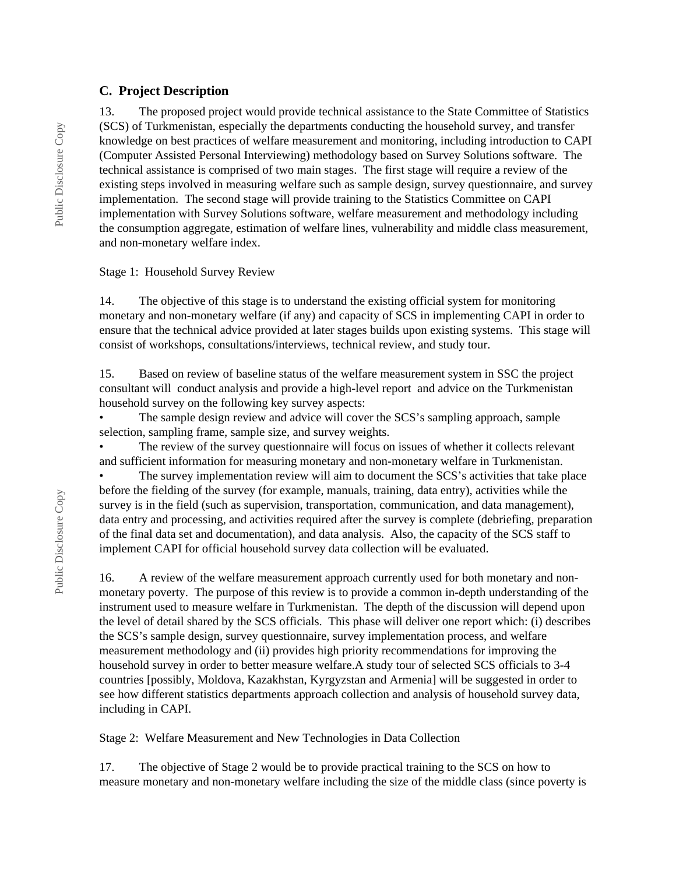#### **C. Project Description**

13. The proposed project would provide technical assistance to the State Committee of Statistics (SCS) of Turkmenistan, especially the departments conducting the household survey, and transfer knowledge on best practices of welfare measurement and monitoring, including introduction to CAPI (Computer Assisted Personal Interviewing) methodology based on Survey Solutions software. The technical assistance is comprised of two main stages. The first stage will require a review of the existing steps involved in measuring welfare such as sample design, survey questionnaire, and survey implementation. The second stage will provide training to the Statistics Committee on CAPI implementation with Survey Solutions software, welfare measurement and methodology including the consumption aggregate, estimation of welfare lines, vulnerability and middle class measurement, and non-monetary welfare index.

#### Stage 1: Household Survey Review

14. The objective of this stage is to understand the existing official system for monitoring monetary and non-monetary welfare (if any) and capacity of SCS in implementing CAPI in order to ensure that the technical advice provided at later stages builds upon existing systems. This stage will consist of workshops, consultations/interviews, technical review, and study tour.

15. Based on review of baseline status of the welfare measurement system in SSC the project consultant will conduct analysis and provide a high-level report and advice on the Turkmenistan household survey on the following key survey aspects:

• The sample design review and advice will cover the SCS's sampling approach, sample selection, sampling frame, sample size, and survey weights.

The review of the survey questionnaire will focus on issues of whether it collects relevant and sufficient information for measuring monetary and non-monetary welfare in Turkmenistan.

The survey implementation review will aim to document the SCS's activities that take place before the fielding of the survey (for example, manuals, training, data entry), activities while the survey is in the field (such as supervision, transportation, communication, and data management), data entry and processing, and activities required after the survey is complete (debriefing, preparation of the final data set and documentation), and data analysis. Also, the capacity of the SCS staff to implement CAPI for official household survey data collection will be evaluated.

16. A review of the welfare measurement approach currently used for both monetary and nonmonetary poverty. The purpose of this review is to provide a common in-depth understanding of the instrument used to measure welfare in Turkmenistan. The depth of the discussion will depend upon the level of detail shared by the SCS officials. This phase will deliver one report which: (i) describes the SCS's sample design, survey questionnaire, survey implementation process, and welfare measurement methodology and (ii) provides high priority recommendations for improving the household survey in order to better measure welfare.A study tour of selected SCS officials to 3-4 countries [possibly, Moldova, Kazakhstan, Kyrgyzstan and Armenia] will be suggested in order to see how different statistics departments approach collection and analysis of household survey data, including in CAPI.

Stage 2: Welfare Measurement and New Technologies in Data Collection

17. The objective of Stage 2 would be to provide practical training to the SCS on how to measure monetary and non-monetary welfare including the size of the middle class (since poverty is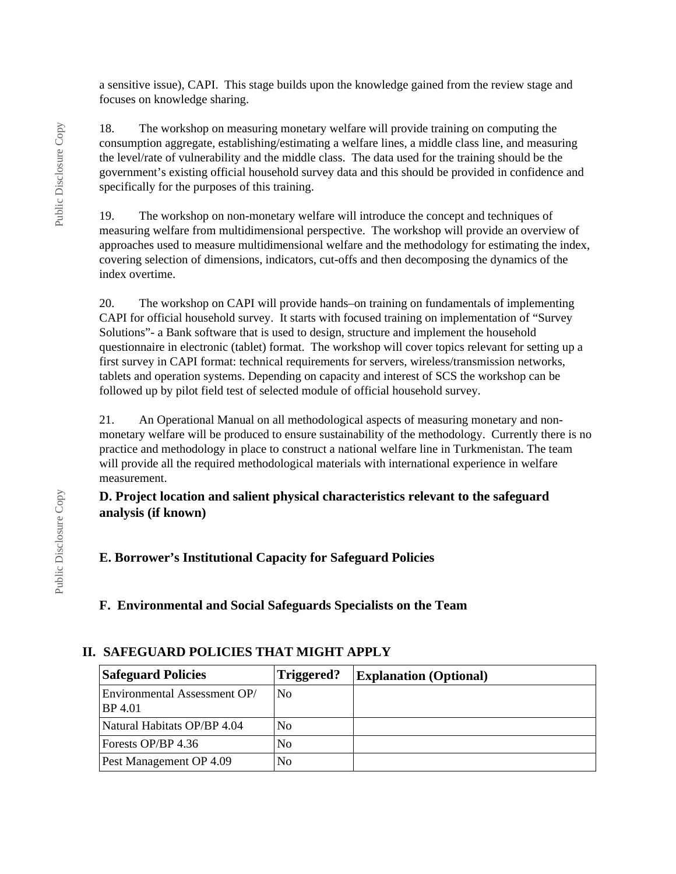a sensitive issue), CAPI. This stage builds upon the knowledge gained from the review stage and focuses on knowledge sharing.

18. The workshop on measuring monetary welfare will provide training on computing the consumption aggregate, establishing/estimating a welfare lines, a middle class line, and measuring the level/rate of vulnerability and the middle class. The data used for the training should be the government's existing official household survey data and this should be provided in confidence and specifically for the purposes of this training.

19. The workshop on non-monetary welfare will introduce the concept and techniques of measuring welfare from multidimensional perspective. The workshop will provide an overview of approaches used to measure multidimensional welfare and the methodology for estimating the index, covering selection of dimensions, indicators, cut-offs and then decomposing the dynamics of the index overtime.

20. The workshop on CAPI will provide hands–on training on fundamentals of implementing CAPI for official household survey. It starts with focused training on implementation of "Survey Solutions"- a Bank software that is used to design, structure and implement the household questionnaire in electronic (tablet) format. The workshop will cover topics relevant for setting up a first survey in CAPI format: technical requirements for servers, wireless/transmission networks, tablets and operation systems. Depending on capacity and interest of SCS the workshop can be followed up by pilot field test of selected module of official household survey.

21. An Operational Manual on all methodological aspects of measuring monetary and nonmonetary welfare will be produced to ensure sustainability of the methodology. Currently there is no practice and methodology in place to construct a national welfare line in Turkmenistan. The team will provide all the required methodological materials with international experience in welfare measurement.

### **D. Project location and salient physical characteristics relevant to the safeguard analysis (if known)**

# **E. Borrower's Institutional Capacity for Safeguard Policies**

**F. Environmental and Social Safeguards Specialists on the Team**

| <b>Safeguard Policies</b>               | Triggered?     | <b>Explanation (Optional)</b> |
|-----------------------------------------|----------------|-------------------------------|
| Environmental Assessment OP/<br>BP 4.01 | No             |                               |
| Natural Habitats OP/BP 4.04             | N <sub>0</sub> |                               |
| Forests OP/BP 4.36                      | N <sub>0</sub> |                               |
| Pest Management OP 4.09                 | N <sub>0</sub> |                               |

### **II. SAFEGUARD POLICIES THAT MIGHT APPLY**